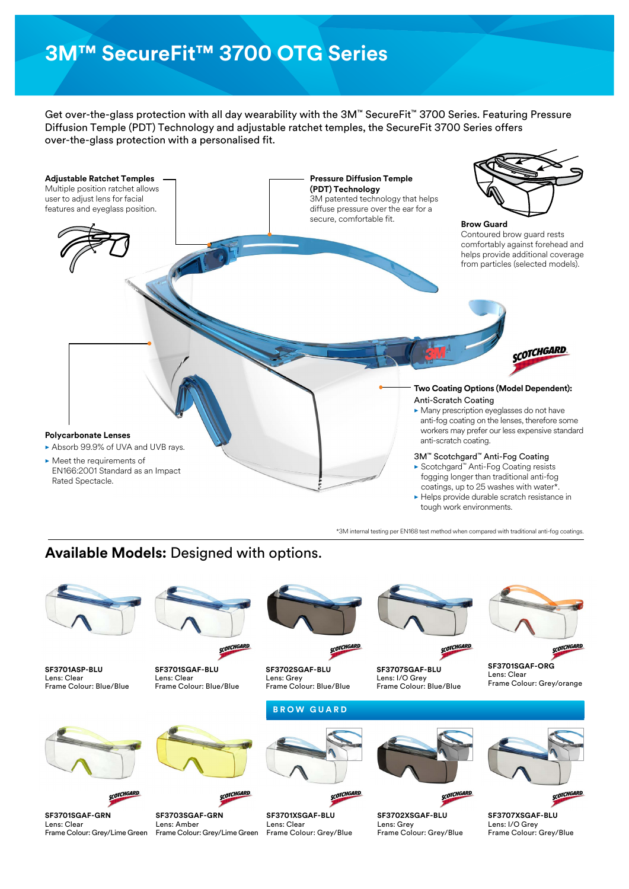# **3M™ SecureFit™ 3700 OTG Series**

Get over-the-glass protection with all day wearability with the 3M™ SecureFit™ 3700 Series. Featuring Pressure Diffusion Temple (PDT) Technology and adjustable ratchet temples, the SecureFit 3700 Series offers over-the-glass protection with a personalised fit.



## **Available Models:** Designed with options.



\*3M internal testing per EN168 test method when compared with traditional anti-fog coatings.